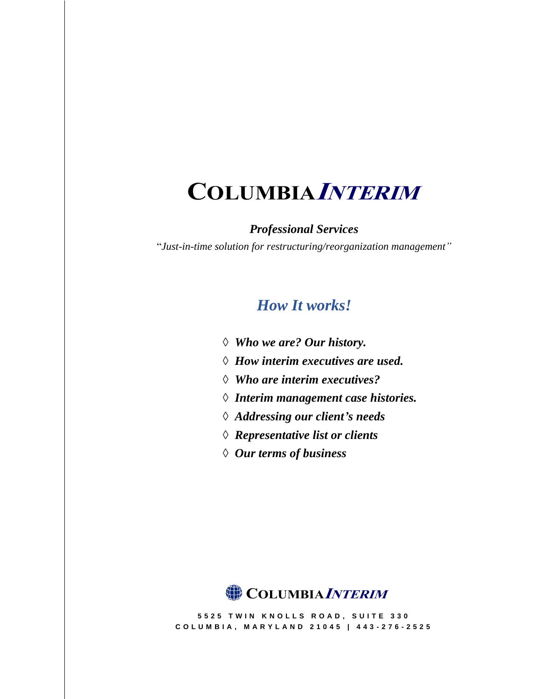# **COLUMBIAINTERIM**

*Professional Services*

"*Just-in-time solution for restructuring/reorganization management"*

# *How It works!*

- *◊ Who we are? Our history.*
- *◊ How interim executives are used.*
- *◊ Who are interim executives?*
- *◊ Interim management case histories.*
- *◊ Addressing our client's needs*
- *◊ Representative list or clients*
- *◊ Our terms of business*



**5 5 2 5 T W I N K N O L L S R O A D , S U I T E 3 3 0 C O L U M B I A , M A R Y L A N D 2 1 0 4 5 | 4 4 3 - 2 7 6 - 2525**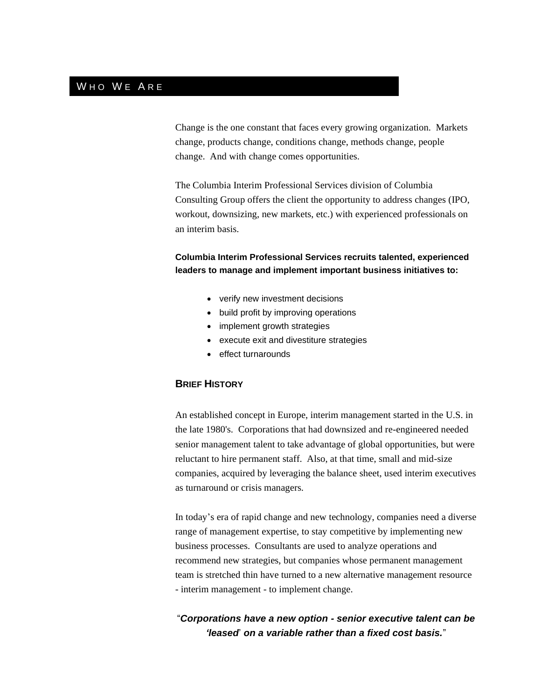# WHO WE ARE

Change is the one constant that faces every growing organization. Markets change, products change, conditions change, methods change, people change. And with change comes opportunities.

The Columbia Interim Professional Services division of Columbia Consulting Group offers the client the opportunity to address changes (IPO, workout, downsizing, new markets, etc.) with experienced professionals on an interim basis.

**Columbia Interim Professional Services recruits talented, experienced leaders to manage and implement important business initiatives to:**

- verify new investment decisions
- build profit by improving operations
- implement growth strategies
- execute exit and divestiture strategies
- effect turnarounds

### **BRIEF HISTORY**

An established concept in Europe, interim management started in the U.S. in the late 1980's. Corporations that had downsized and re-engineered needed senior management talent to take advantage of global opportunities, but were reluctant to hire permanent staff. Also, at that time, small and mid-size companies, acquired by leveraging the balance sheet, used interim executives as turnaround or crisis managers.

In today's era of rapid change and new technology, companies need a diverse range of management expertise, to stay competitive by implementing new business processes. Consultants are used to analyze operations and recommend new strategies, but companies whose permanent management team is stretched thin have turned to a new alternative management resource - interim management - to implement change.

# "*Corporations have a new option - senior executive talent can be 'leased*' *on a variable rather than a fixed cost basis.*"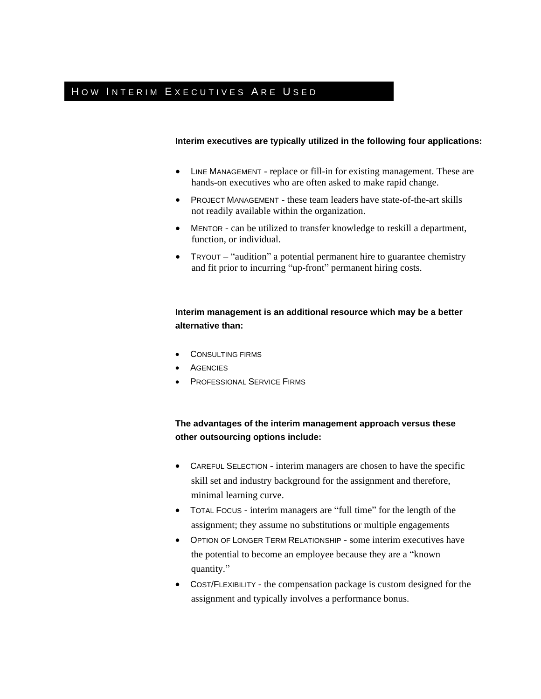# HOW INTERIM EXECUTIVES ARE USED

#### **Interim executives are typically utilized in the following four applications:**

- LINE MANAGEMENT replace or fill-in for existing management. These are hands-on executives who are often asked to make rapid change.
- PROJECT MANAGEMENT these team leaders have state-of-the-art skills not readily available within the organization.
- MENTOR can be utilized to transfer knowledge to reskill a department, function, or individual.
- TRYOUT "audition" a potential permanent hire to guarantee chemistry and fit prior to incurring "up-front" permanent hiring costs.

### **Interim management is an additional resource which may be a better alternative than:**

- CONSULTING FIRMS
- **AGENCIES**
- **PROFESSIONAL SERVICE FIRMS**

### **The advantages of the interim management approach versus these other outsourcing options include:**

- CAREFUL SELECTION interim managers are chosen to have the specific skill set and industry background for the assignment and therefore, minimal learning curve.
- TOTAL FOCUS interim managers are "full time" for the length of the assignment; they assume no substitutions or multiple engagements
- OPTION OF LONGER TERM RELATIONSHIP some interim executives have the potential to become an employee because they are a "known quantity."
- COST/FLEXIBILITY the compensation package is custom designed for the assignment and typically involves a performance bonus.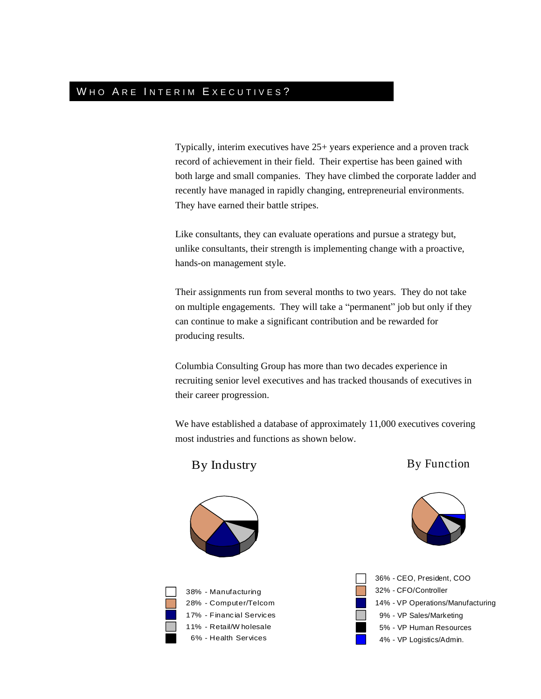# WHO ARE INTERIM EXECUTIVES?

Typically, interim executives have 25+ years experience and a proven track record of achievement in their field. Their expertise has been gained with both large and small companies. They have climbed the corporate ladder and recently have managed in rapidly changing, entrepreneurial environments. They have earned their battle stripes.

Like consultants, they can evaluate operations and pursue a strategy but, unlike consultants, their strength is implementing change with a proactive, hands-on management style.

Their assignments run from several months to two years. They do not take on multiple engagements. They will take a "permanent" job but only if they can continue to make a significant contribution and be rewarded for producing results.

Columbia Consulting Group has more than two decades experience in recruiting senior level executives and has tracked thousands of executives in their career progression.

We have established a database of approximately 11,000 executives covering most industries and functions as shown below.

By Industry

# By Function







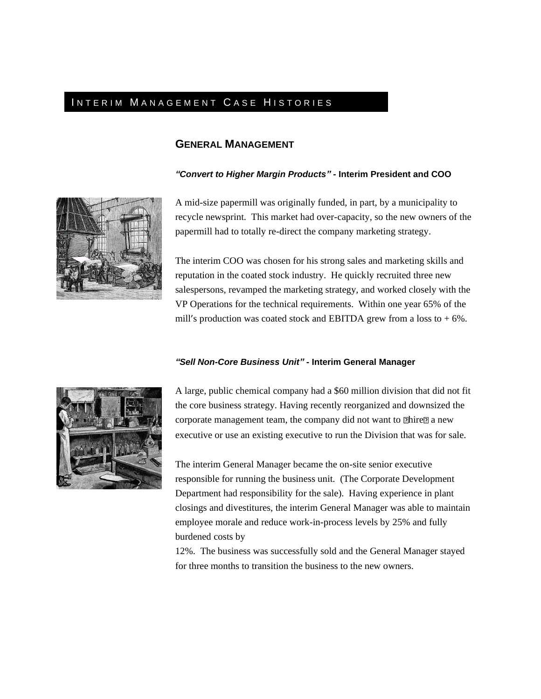# INTERIM MANAGEMENT CASE HISTORIES

## **GENERAL MANAGEMENT**

#### *"Convert to Higher Margin Products" -* **Interim President and COO**



A mid-size papermill was originally funded, in part, by a municipality to recycle newsprint. This market had over-capacity, so the new owners of the papermill had to totally re-direct the company marketing strategy.

The interim COO was chosen for his strong sales and marketing skills and reputation in the coated stock industry. He quickly recruited three new salespersons, revamped the marketing strategy, and worked closely with the VP Operations for the technical requirements. Within one year 65% of the mill's production was coated stock and EBITDA grew from a loss to  $+6\%$ .

#### *"Sell Non-Core Business Unit"* **- Interim General Manager**



A large, public chemical company had a \$60 million division that did not fit the core business strategy. Having recently reorganized and downsized the corporate management team, the company did not want to **Thire a** new executive or use an existing executive to run the Division that was for sale.

The interim General Manager became the on-site senior executive responsible for running the business unit. (The Corporate Development Department had responsibility for the sale). Having experience in plant closings and divestitures, the interim General Manager was able to maintain employee morale and reduce work-in-process levels by 25% and fully burdened costs by

12%. The business was successfully sold and the General Manager stayed for three months to transition the business to the new owners.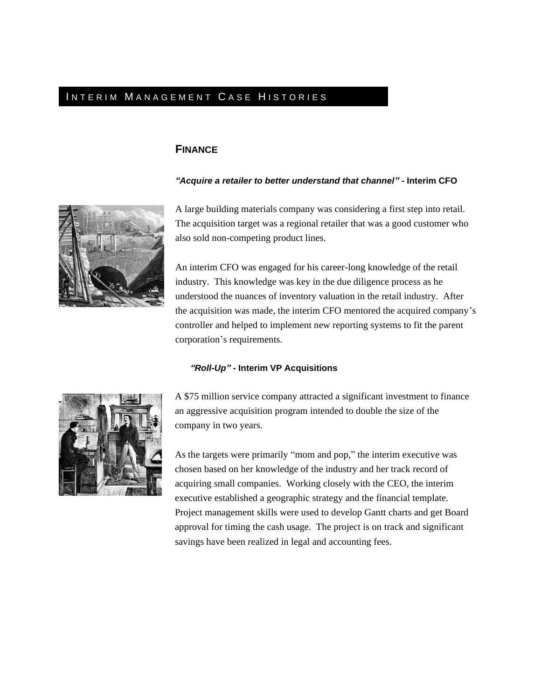# INTERIM MANAGEMENT CASE HISTORIES

#### **FINANCE**

#### *"Acquire a retailer to better understand that channel"* **- Interim CFO**



A large building materials company was considering a first step into retail. The acquisition target was a regional retailer that was a good customer who also sold non-competing product lines.

An interim CFO was engaged for his career-long knowledge of the retail industry. This knowledge was key in the due diligence process as he understood the nuances of inventory valuation in the retail industry. After the acquisition was made, the interim CFO mentored the acquired company's controller and helped to implement new reporting systems to fit the parent corporation's requirements.

#### *"Roll-Up" -* **Interim VP Acquisitions**



A \$75 million service company attracted a significant investment to finance an aggressive acquisition program intended to double the size of the company in two years.

As the targets were primarily "mom and pop," the interim executive was chosen based on her knowledge of the industry and her track record of acquiring small companies. Working closely with the CEO, the interim executive established a geographic strategy and the financial template. Project management skills were used to develop Gantt charts and get Board approval for timing the cash usage. The project is on track and significant savings have been realized in legal and accounting fees.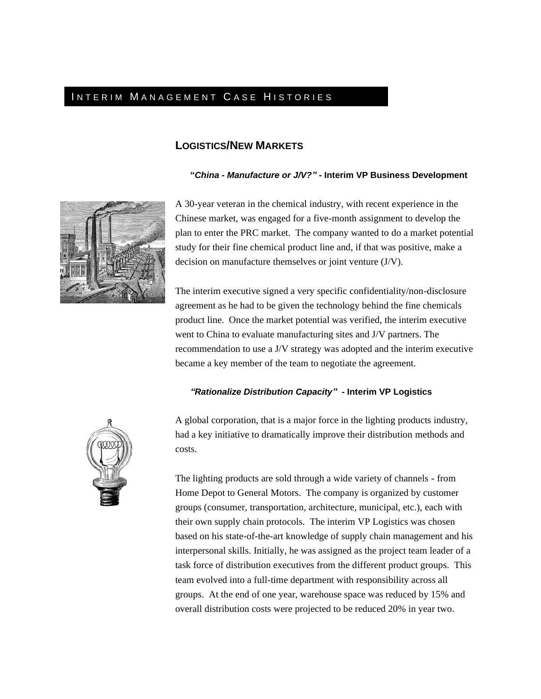# INTERIM MANAGEMENT CASE HISTORIES

### **LOGISTICS/NEW MARKETS**

#### **"***China - Manufacture or J/V?"* **- Interim VP Business Development**



A 30-year veteran in the chemical industry, with recent experience in the Chinese market, was engaged for a five-month assignment to develop the plan to enter the PRC market. The company wanted to do a market potential study for their fine chemical product line and, if that was positive, make a decision on manufacture themselves or joint venture (J/V).

The interim executive signed a very specific confidentiality/non-disclosure agreement as he had to be given the technology behind the fine chemicals product line. Once the market potential was verified, the interim executive went to China to evaluate manufacturing sites and J/V partners. The recommendation to use a J/V strategy was adopted and the interim executive became a key member of the team to negotiate the agreement.

#### *"Rationalize Distribution Capacity"* **- Interim VP Logistics**



A global corporation, that is a major force in the lighting products industry, had a key initiative to dramatically improve their distribution methods and costs.

The lighting products are sold through a wide variety of channels - from Home Depot to General Motors. The company is organized by customer groups (consumer, transportation, architecture, municipal, etc.), each with their own supply chain protocols. The interim VP Logistics was chosen based on his state-of-the-art knowledge of supply chain management and his interpersonal skills. Initially, he was assigned as the project team leader of a task force of distribution executives from the different product groups. This team evolved into a full-time department with responsibility across all groups. At the end of one year, warehouse space was reduced by 15% and overall distribution costs were projected to be reduced 20% in year two.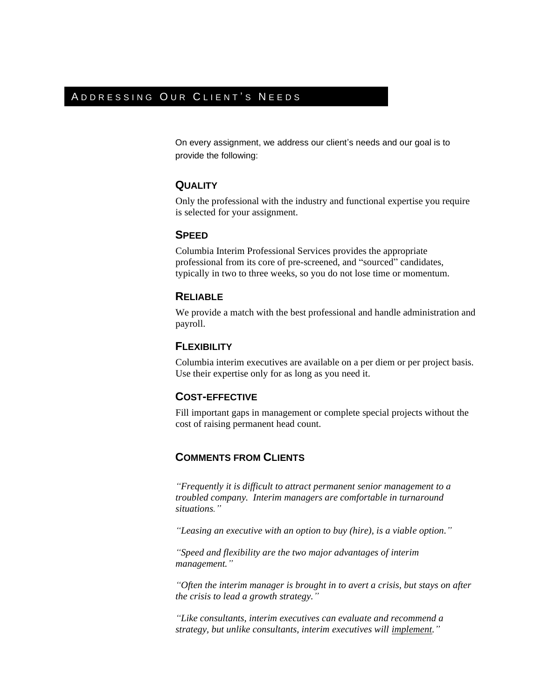# A D D R E S S I N G O UR CLIENT'S NEEDS

On every assignment, we address our client's needs and our goal is to provide the following:

### **QUALITY**

Only the professional with the industry and functional expertise you require is selected for your assignment.

#### **SPEED**

Columbia Interim Professional Services provides the appropriate professional from its core of pre-screened, and "sourced" candidates, typically in two to three weeks, so you do not lose time or momentum.

### **RELIABLE**

We provide a match with the best professional and handle administration and payroll.

### **FLEXIBILITY**

Columbia interim executives are available on a per diem or per project basis. Use their expertise only for as long as you need it.

### **COST-EFFECTIVE**

Fill important gaps in management or complete special projects without the cost of raising permanent head count.

### **COMMENTS FROM CLIENTS**

*"Frequently it is difficult to attract permanent senior management to a troubled company. Interim managers are comfortable in turnaround situations."*

*"Leasing an executive with an option to buy (hire), is a viable option."*

*"Speed and flexibility are the two major advantages of interim management."*

*"Often the interim manager is brought in to avert a crisis, but stays on after the crisis to lead a growth strategy."*

*"Like consultants, interim executives can evaluate and recommend a strategy, but unlike consultants, interim executives will implement."*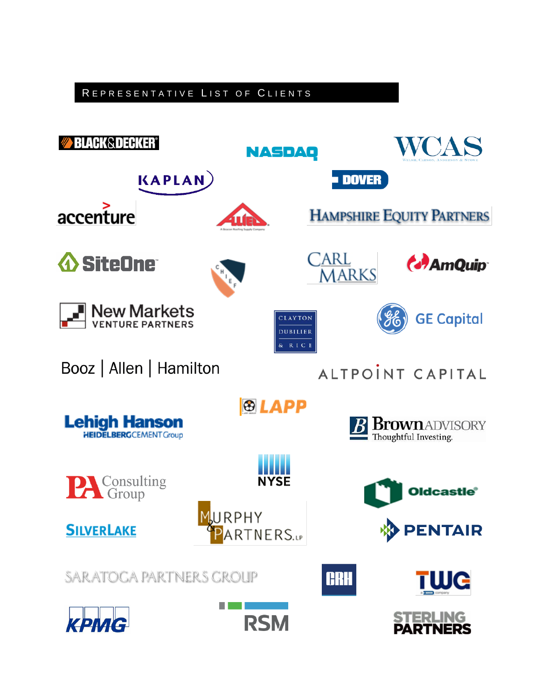# REPRESENTATIVE LIST OF CLIENTS